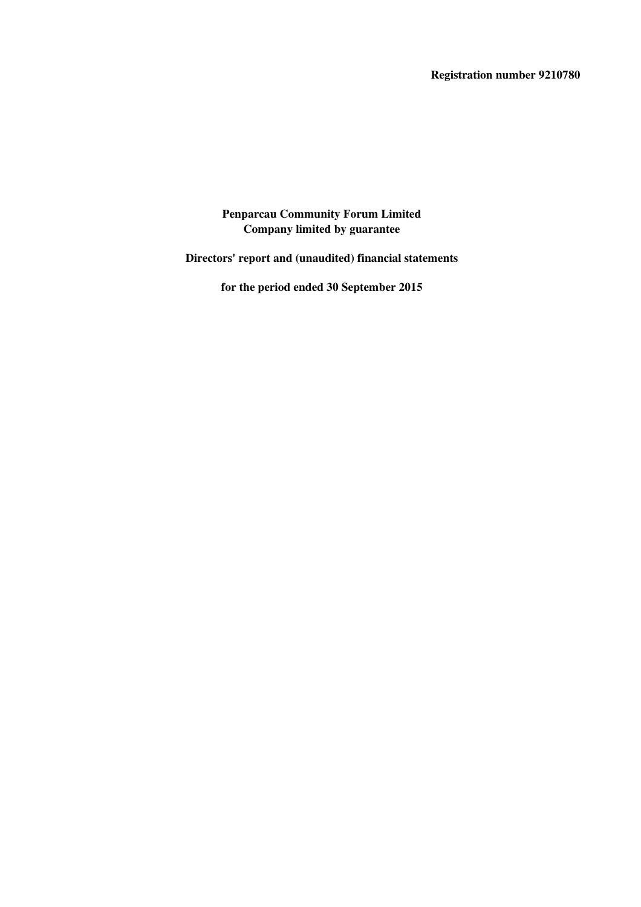**Directors' report and (unaudited) financial statements**

**for the period ended 30 September 2015**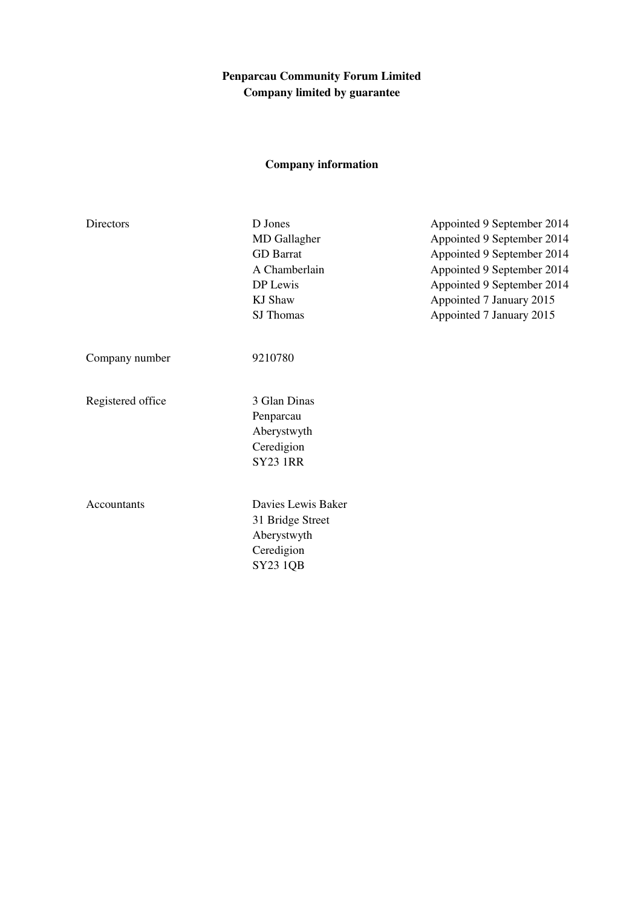# **Company information**

| Directors         | D Jones<br><b>MD</b> Gallagher<br><b>GD</b> Barrat<br>A Chamberlain<br>DP Lewis<br><b>KJ</b> Shaw<br>SJ Thomas | Appointed 9 September 2014<br>Appointed 9 September 2014<br>Appointed 9 September 2014<br>Appointed 9 September 2014<br>Appointed 9 September 2014<br>Appointed 7 January 2015<br>Appointed 7 January 2015 |
|-------------------|----------------------------------------------------------------------------------------------------------------|------------------------------------------------------------------------------------------------------------------------------------------------------------------------------------------------------------|
| Company number    | 9210780                                                                                                        |                                                                                                                                                                                                            |
| Registered office | 3 Glan Dinas<br>Penparcau<br>Aberystwyth<br>Ceredigion<br><b>SY23 1RR</b>                                      |                                                                                                                                                                                                            |
| Accountants       | Davies Lewis Baker<br>31 Bridge Street<br>Aberystwyth<br>Ceredigion<br>SY23 1QB                                |                                                                                                                                                                                                            |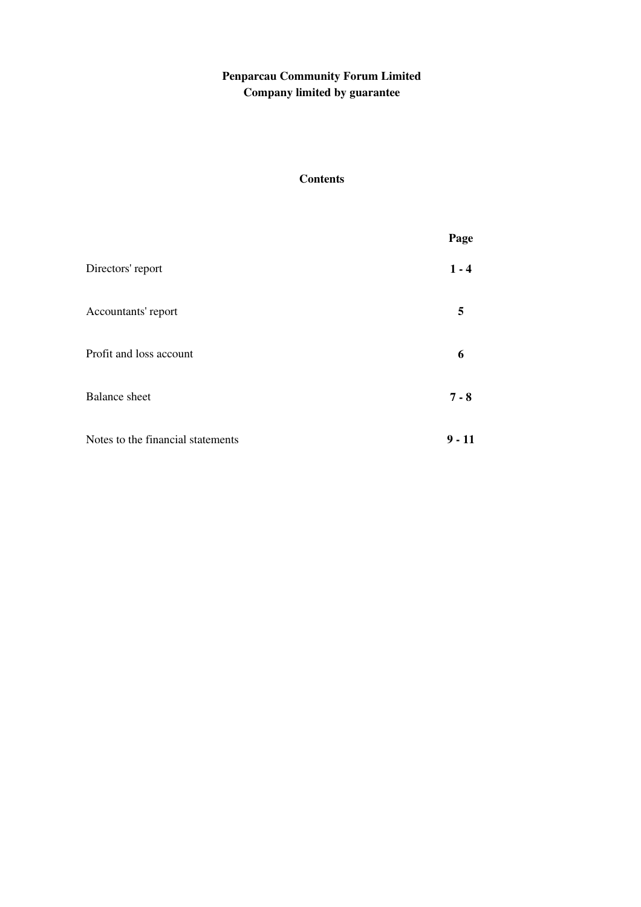# **Contents**

|                                   | Page     |
|-----------------------------------|----------|
| Directors' report                 | $1 - 4$  |
| Accountants' report               | 5        |
| Profit and loss account           | 6        |
| <b>Balance</b> sheet              | $7 - 8$  |
| Notes to the financial statements | $9 - 11$ |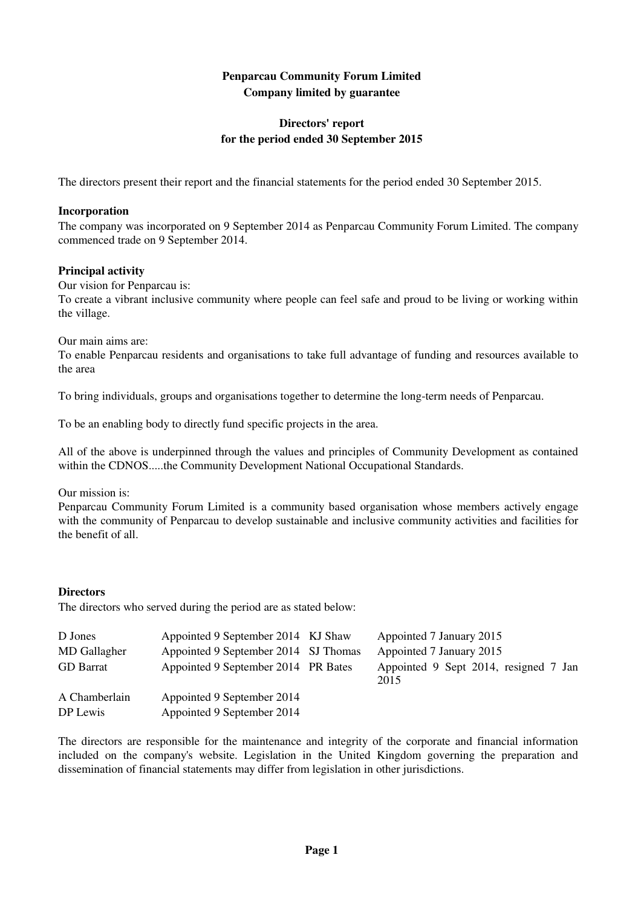## **Directors' report for the period ended 30 September 2015**

The directors present their report and the financial statements for the period ended 30 September 2015.

#### **Incorporation**

The company was incorporated on 9 September 2014 as Penparcau Community Forum Limited. The company commenced trade on 9 September 2014.

#### **Principal activity**

Our vision for Penparcau is:

To create a vibrant inclusive community where people can feel safe and proud to be living or working within the village.

Our main aims are:

To enable Penparcau residents and organisations to take full advantage of funding and resources available to the area

To bring individuals, groups and organisations together to determine the long-term needs of Penparcau.

To be an enabling body to directly fund specific projects in the area.

All of the above is underpinned through the values and principles of Community Development as contained within the CDNOS.....the Community Development National Occupational Standards.

Our mission is:

Penparcau Community Forum Limited is a community based organisation whose members actively engage with the community of Penparcau to develop sustainable and inclusive community activities and facilities for the benefit of all.

#### **Directors**

The directors who served during the period are as stated below:

| D Jones          | Appointed 9 September 2014 KJ Shaw   | Appointed 7 January 2015                      |
|------------------|--------------------------------------|-----------------------------------------------|
| MD Gallagher     | Appointed 9 September 2014 SJ Thomas | Appointed 7 January 2015                      |
| <b>GD</b> Barrat | Appointed 9 September 2014 PR Bates  | Appointed 9 Sept 2014, resigned 7 Jan<br>2015 |
| A Chamberlain    | Appointed 9 September 2014           |                                               |
| DP Lewis         | Appointed 9 September 2014           |                                               |

The directors are responsible for the maintenance and integrity of the corporate and financial information included on the company's website. Legislation in the United Kingdom governing the preparation and dissemination of financial statements may differ from legislation in other jurisdictions.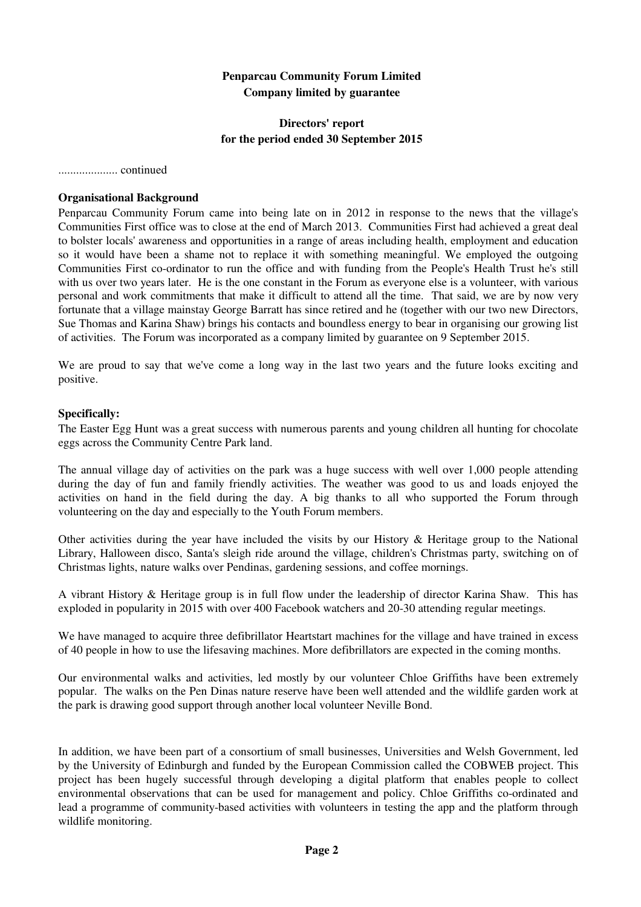#### **Directors' report for the period ended 30 September 2015**

.................... continued

#### **Organisational Background**

Penparcau Community Forum came into being late on in 2012 in response to the news that the village's Communities First office was to close at the end of March 2013. Communities First had achieved a great deal to bolster locals' awareness and opportunities in a range of areas including health, employment and education so it would have been a shame not to replace it with something meaningful. We employed the outgoing Communities First co-ordinator to run the office and with funding from the People's Health Trust he's still with us over two years later. He is the one constant in the Forum as everyone else is a volunteer, with various personal and work commitments that make it difficult to attend all the time. That said, we are by now very fortunate that a village mainstay George Barratt has since retired and he (together with our two new Directors, Sue Thomas and Karina Shaw) brings his contacts and boundless energy to bear in organising our growing list of activities. The Forum was incorporated as a company limited by guarantee on 9 September 2015.

We are proud to say that we've come a long way in the last two years and the future looks exciting and positive.

#### **Specifically:**

The Easter Egg Hunt was a great success with numerous parents and young children all hunting for chocolate eggs across the Community Centre Park land.

The annual village day of activities on the park was a huge success with well over 1,000 people attending during the day of fun and family friendly activities. The weather was good to us and loads enjoyed the activities on hand in the field during the day. A big thanks to all who supported the Forum through volunteering on the day and especially to the Youth Forum members.

Other activities during the year have included the visits by our History & Heritage group to the National Library, Halloween disco, Santa's sleigh ride around the village, children's Christmas party, switching on of Christmas lights, nature walks over Pendinas, gardening sessions, and coffee mornings.

A vibrant History & Heritage group is in full flow under the leadership of director Karina Shaw. This has exploded in popularity in 2015 with over 400 Facebook watchers and 20-30 attending regular meetings.

We have managed to acquire three defibrillator Heartstart machines for the village and have trained in excess of 40 people in how to use the lifesaving machines. More defibrillators are expected in the coming months.

Our environmental walks and activities, led mostly by our volunteer Chloe Griffiths have been extremely popular. The walks on the Pen Dinas nature reserve have been well attended and the wildlife garden work at the park is drawing good support through another local volunteer Neville Bond.

In addition, we have been part of a consortium of small businesses, Universities and Welsh Government, led by the University of Edinburgh and funded by the European Commission called the COBWEB project. This project has been hugely successful through developing a digital platform that enables people to collect environmental observations that can be used for management and policy. Chloe Griffiths co-ordinated and lead a programme of community-based activities with volunteers in testing the app and the platform through wildlife monitoring.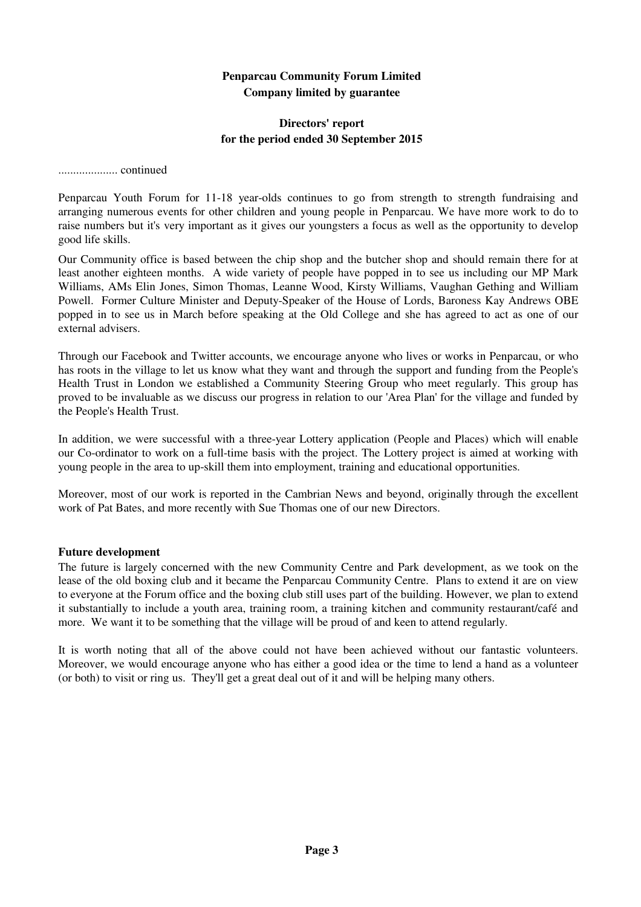#### **Directors' report for the period ended 30 September 2015**

.................... continued

Penparcau Youth Forum for 11-18 year-olds continues to go from strength to strength fundraising and arranging numerous events for other children and young people in Penparcau. We have more work to do to raise numbers but it's very important as it gives our youngsters a focus as well as the opportunity to develop good life skills.

Our Community office is based between the chip shop and the butcher shop and should remain there for at least another eighteen months. A wide variety of people have popped in to see us including our MP Mark Williams, AMs Elin Jones, Simon Thomas, Leanne Wood, Kirsty Williams, Vaughan Gething and William Powell. Former Culture Minister and Deputy-Speaker of the House of Lords, Baroness Kay Andrews OBE popped in to see us in March before speaking at the Old College and she has agreed to act as one of our external advisers.

Through our Facebook and Twitter accounts, we encourage anyone who lives or works in Penparcau, or who has roots in the village to let us know what they want and through the support and funding from the People's Health Trust in London we established a Community Steering Group who meet regularly. This group has proved to be invaluable as we discuss our progress in relation to our 'Area Plan' for the village and funded by the People's Health Trust.

In addition, we were successful with a three-year Lottery application (People and Places) which will enable our Co-ordinator to work on a full-time basis with the project. The Lottery project is aimed at working with young people in the area to up-skill them into employment, training and educational opportunities.

Moreover, most of our work is reported in the Cambrian News and beyond, originally through the excellent work of Pat Bates, and more recently with Sue Thomas one of our new Directors.

#### **Future development**

The future is largely concerned with the new Community Centre and Park development, as we took on the lease of the old boxing club and it became the Penparcau Community Centre. Plans to extend it are on view to everyone at the Forum office and the boxing club still uses part of the building. However, we plan to extend it substantially to include a youth area, training room, a training kitchen and community restaurant/café and more. We want it to be something that the village will be proud of and keen to attend regularly.

It is worth noting that all of the above could not have been achieved without our fantastic volunteers. Moreover, we would encourage anyone who has either a good idea or the time to lend a hand as a volunteer (or both) to visit or ring us. They'll get a great deal out of it and will be helping many others.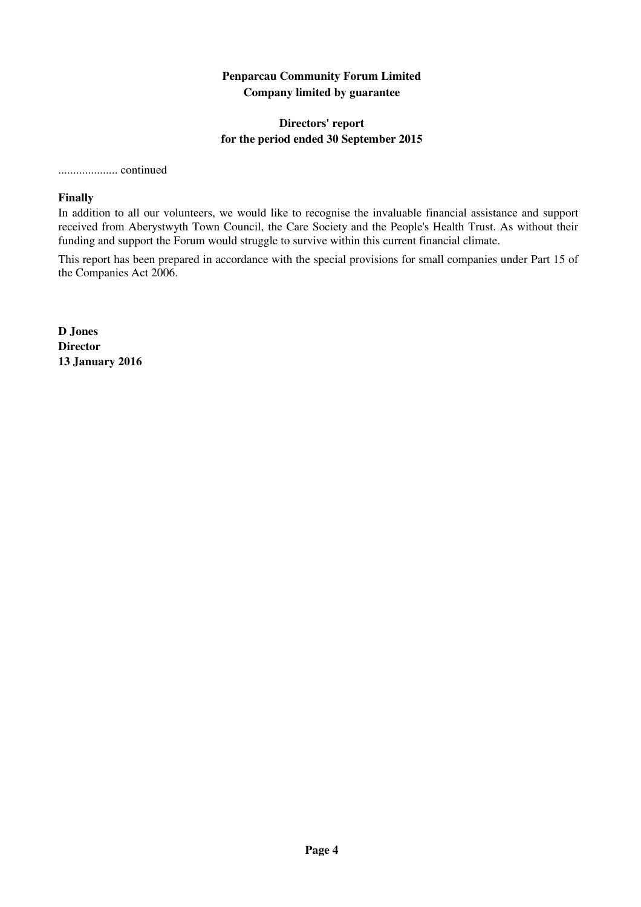### **Directors' report for the period ended 30 September 2015**

#### .................... continued

#### **Finally**

In addition to all our volunteers, we would like to recognise the invaluable financial assistance and support received from Aberystwyth Town Council, the Care Society and the People's Health Trust. As without their funding and support the Forum would struggle to survive within this current financial climate.

This report has been prepared in accordance with the special provisions for small companies under Part 15 of the Companies Act 2006.

**D Jones Director 13 January 2016**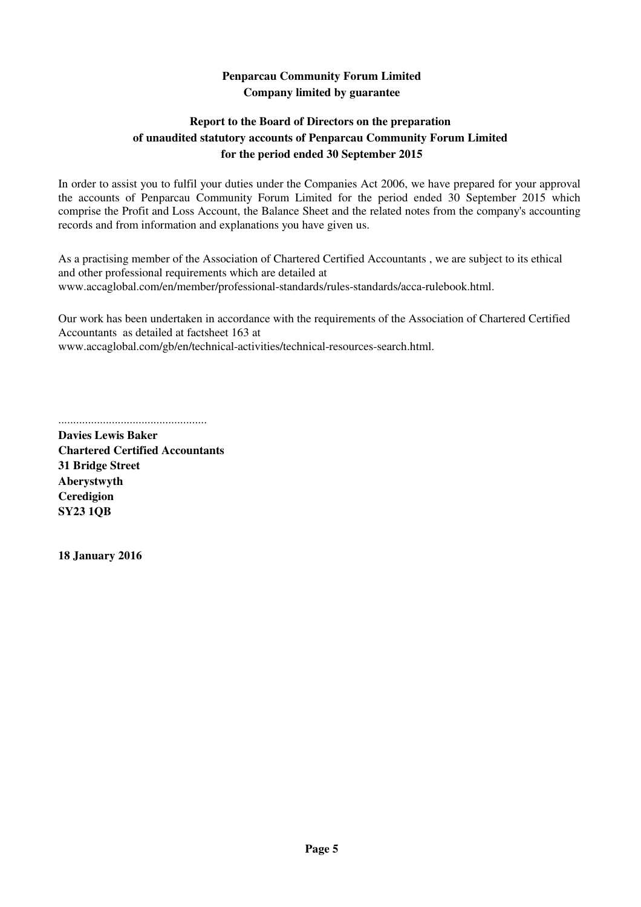# **Report to the Board of Directors on the preparation of unaudited statutory accounts of Penparcau Community Forum Limited for the period ended 30 September 2015**

In order to assist you to fulfil your duties under the Companies Act 2006, we have prepared for your approval the accounts of Penparcau Community Forum Limited for the period ended 30 September 2015 which comprise the Profit and Loss Account, the Balance Sheet and the related notes from the company's accounting records and from information and explanations you have given us.

As a practising member of the Association of Chartered Certified Accountants , we are subject to its ethical and other professional requirements which are detailed at www.accaglobal.com/en/member/professional-standards/rules-standards/acca-rulebook.html.

Our work has been undertaken in accordance with the requirements of the Association of Chartered Certified Accountants as detailed at factsheet 163 at

www.accaglobal.com/gb/en/technical-activities/technical-resources-search.html.

..................................................

**Davies Lewis Baker Chartered Certified Accountants 31 Bridge Street Aberystwyth Ceredigion SY23 1QB**

**18 January 2016**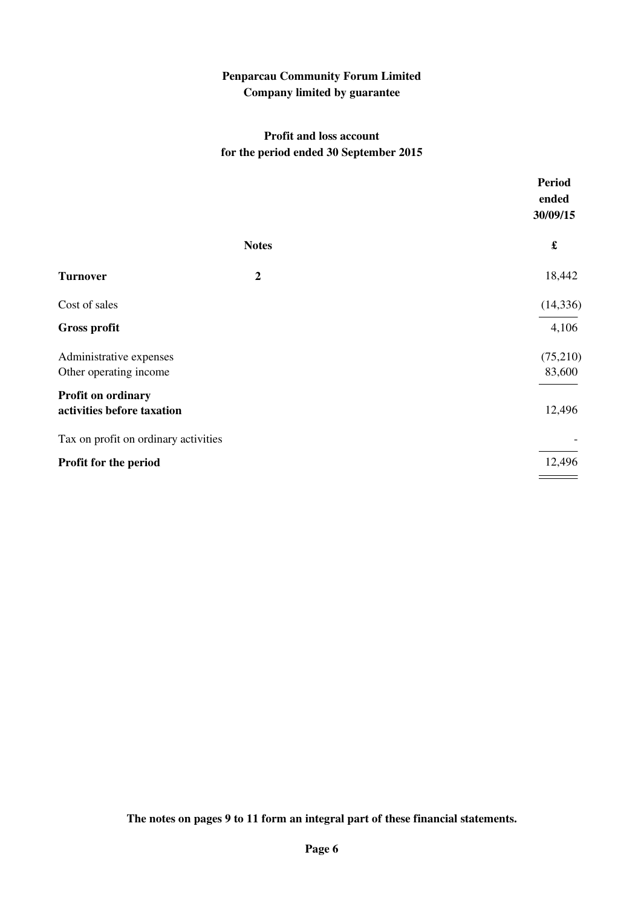## **Profit and loss account for the period ended 30 September 2015**

|                                                  |                  | <b>Period</b><br>ended<br>30/09/15 |
|--------------------------------------------------|------------------|------------------------------------|
|                                                  | <b>Notes</b>     | £                                  |
| <b>Turnover</b>                                  | $\boldsymbol{2}$ | 18,442                             |
| Cost of sales                                    |                  | (14, 336)                          |
| <b>Gross profit</b>                              |                  | 4,106                              |
| Administrative expenses                          |                  | (75,210)                           |
| Other operating income                           |                  | 83,600                             |
| Profit on ordinary<br>activities before taxation |                  | 12,496                             |
| Tax on profit on ordinary activities             |                  |                                    |
| Profit for the period                            |                  | 12,496                             |

**The notes on pages 9 to 11 form an integral part of these financial statements.**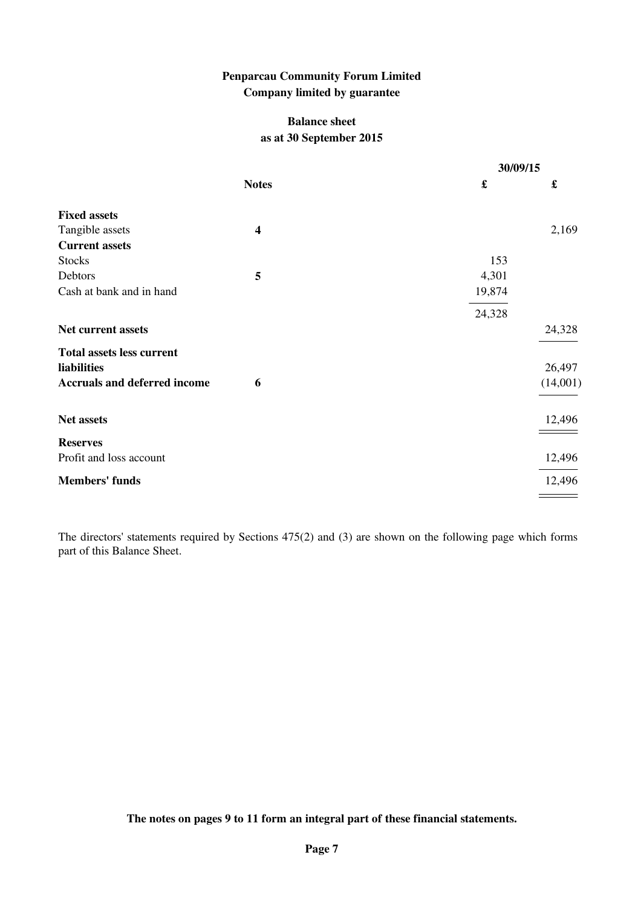### **Balance sheet as at 30 September 2015**

|                                     |                         | 30/09/15 |          |
|-------------------------------------|-------------------------|----------|----------|
|                                     | <b>Notes</b>            | £        | £        |
| <b>Fixed assets</b>                 |                         |          |          |
| Tangible assets                     | $\overline{\mathbf{4}}$ |          | 2,169    |
| <b>Current assets</b>               |                         |          |          |
| <b>Stocks</b>                       |                         | 153      |          |
| Debtors                             | 5                       | 4,301    |          |
| Cash at bank and in hand            |                         | 19,874   |          |
|                                     |                         | 24,328   |          |
| Net current assets                  |                         |          | 24,328   |
| <b>Total assets less current</b>    |                         |          |          |
| liabilities                         |                         |          | 26,497   |
| <b>Accruals and deferred income</b> | 6                       |          | (14,001) |
| Net assets                          |                         |          | 12,496   |
| <b>Reserves</b>                     |                         |          |          |
| Profit and loss account             |                         |          | 12,496   |
| <b>Members' funds</b>               |                         |          | 12,496   |
|                                     |                         |          |          |

The directors' statements required by Sections 475(2) and (3) are shown on the following page which forms part of this Balance Sheet.

**The notes on pages 9 to 11 form an integral part of these financial statements.**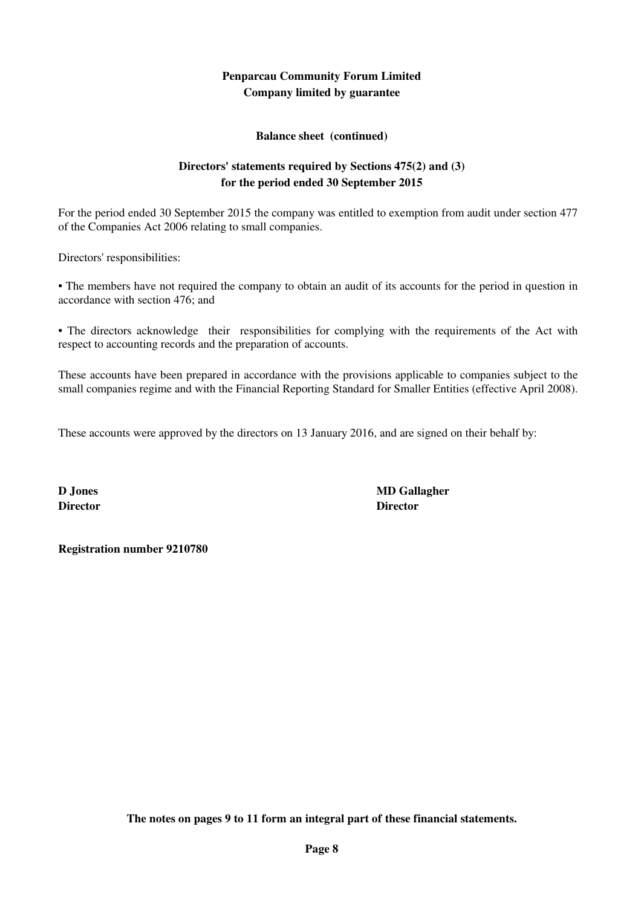**Balance sheet (continued)**

## **Directors' statements required by Sections 475(2) and (3) for the period ended 30 September 2015**

For the period ended 30 September 2015 the company was entitled to exemption from audit under section 477 of the Companies Act 2006 relating to small companies.

Directors' responsibilities:

• The members have not required the company to obtain an audit of its accounts for the period in question in accordance with section 476; and

• The directors acknowledge their responsibilities for complying with the requirements of the Act with respect to accounting records and the preparation of accounts.

These accounts have been prepared in accordance with the provisions applicable to companies subject to the small companies regime and with the Financial Reporting Standard for Smaller Entities (effective April 2008).

These accounts were approved by the directors on 13 January 2016, and are signed on their behalf by:

**Director Director**

**D Jones MD Gallagher**

**Registration number 9210780**

**The notes on pages 9 to 11 form an integral part of these financial statements.**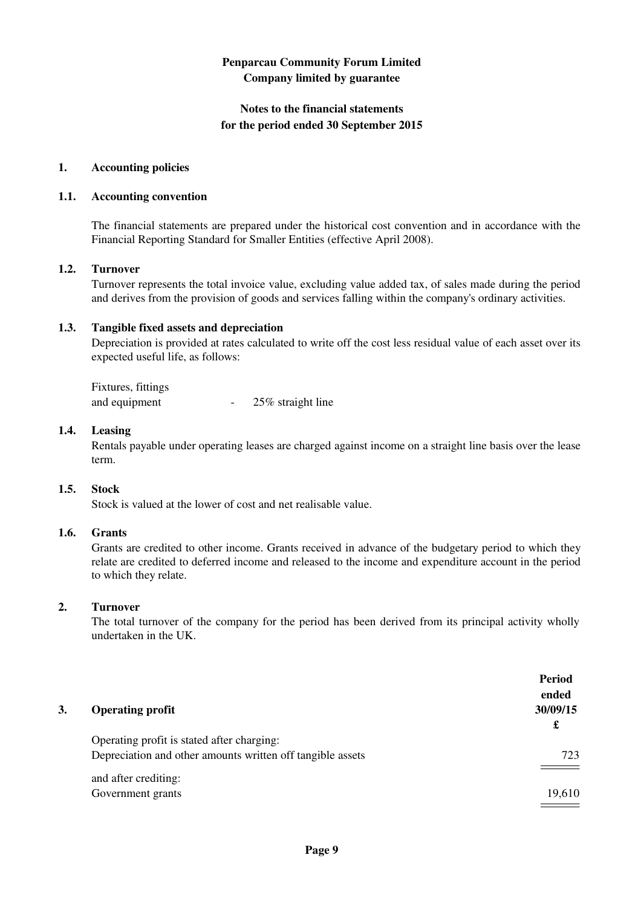### **Notes to the financial statements for the period ended 30 September 2015**

#### **1. Accounting policies**

#### **1.1. Accounting convention**

The financial statements are prepared under the historical cost convention and in accordance with the Financial Reporting Standard for Smaller Entities (effective April 2008).

#### **1.2. Turnover**

Turnover represents the total invoice value, excluding value added tax, of sales made during the period and derives from the provision of goods and services falling within the company's ordinary activities.

#### **1.3. Tangible fixed assets and depreciation**

Depreciation is provided at rates calculated to write off the cost less residual value of each asset over its expected useful life, as follows:

| Fixtures, fittings |                   |
|--------------------|-------------------|
| and equipment      | 25% straight line |

#### **1.4. Leasing**

Rentals payable under operating leases are charged against income on a straight line basis over the lease term.

#### **1.5. Stock**

Stock is valued at the lower of cost and net realisable value.

#### **1.6. Grants**

Grants are credited to other income. Grants received in advance of the budgetary period to which they relate are credited to deferred income and released to the income and expenditure account in the period to which they relate.

#### **2. Turnover**

The total turnover of the company for the period has been derived from its principal activity wholly undertaken in the UK.

|    |                                                            | Period<br>ended |
|----|------------------------------------------------------------|-----------------|
| 3. | <b>Operating profit</b>                                    | 30/09/15        |
|    |                                                            | £               |
|    | Operating profit is stated after charging:                 |                 |
|    | Depreciation and other amounts written off tangible assets | 723             |
|    |                                                            |                 |
|    | and after crediting:                                       |                 |
|    | Government grants                                          | 19,610          |
|    |                                                            |                 |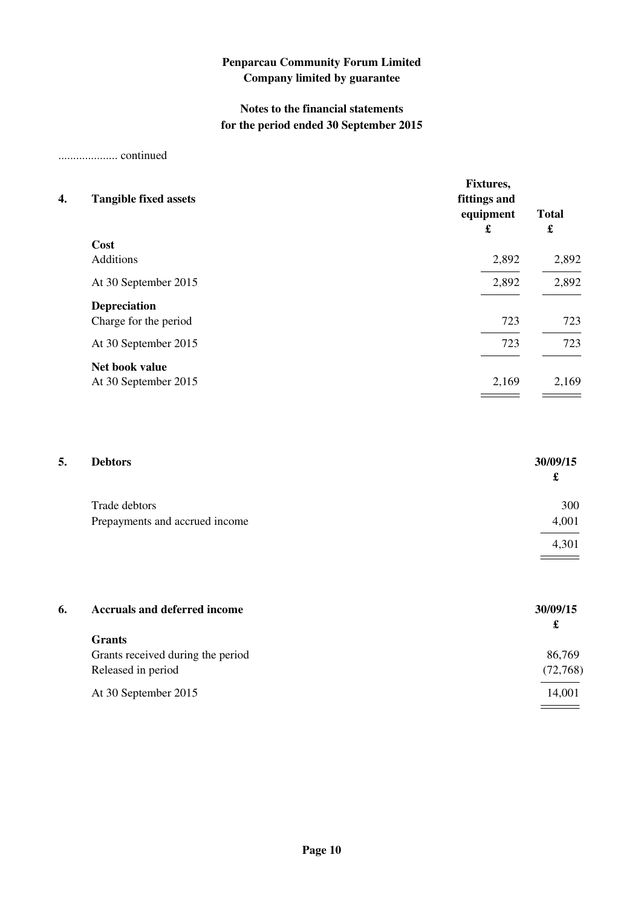## **Notes to the financial statements for the period ended 30 September 2015**

.................... continued

| 4.<br><b>Tangible fixed assets</b> | <b>Fixtures,</b><br>fittings and<br>equipment<br>£ | <b>Total</b><br>£ |
|------------------------------------|----------------------------------------------------|-------------------|
| Cost                               |                                                    |                   |
| <b>Additions</b>                   | 2,892                                              | 2,892             |
| At 30 September 2015               | 2,892                                              | 2,892             |
| <b>Depreciation</b>                |                                                    |                   |
| Charge for the period              | 723                                                | 723               |
| At 30 September 2015               | 723                                                | 723               |
| Net book value                     |                                                    |                   |
| At 30 September 2015               | 2,169                                              | 2,169             |

| 5. | <b>Debtors</b>                 | 30/09/15 |
|----|--------------------------------|----------|
|    |                                | £        |
|    | Trade debtors                  | 300      |
|    | Prepayments and accrued income | 4,001    |
|    |                                | 4,301    |
|    |                                |          |

| 6. | <b>Accruals and deferred income</b> | 30/09/15 |
|----|-------------------------------------|----------|
|    |                                     | £        |
|    | <b>Grants</b>                       |          |
|    | Grants received during the period   | 86,769   |
|    | Released in period                  | (72,768) |
|    | At 30 September 2015                | 14,001   |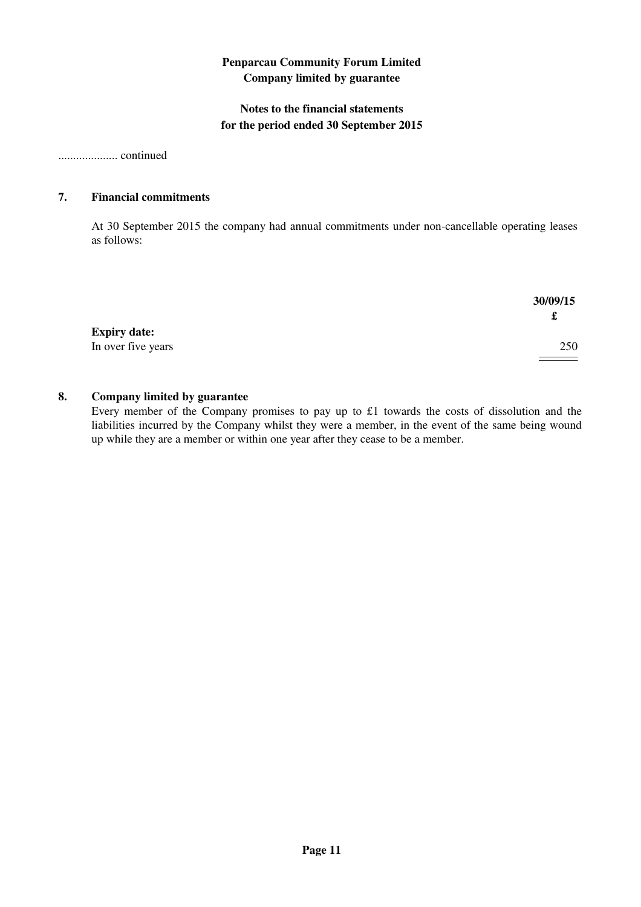## **Notes to the financial statements for the period ended 30 September 2015**

.................... continued

#### **7. Financial commitments**

At 30 September 2015 the company had annual commitments under non-cancellable operating leases as follows:

|                     | 30/09/15 |
|---------------------|----------|
|                     |          |
| <b>Expiry date:</b> |          |
| In over five years  | 250      |

#### **8. Company limited by guarantee**

Every member of the Company promises to pay up to £1 towards the costs of dissolution and the liabilities incurred by the Company whilst they were a member, in the event of the same being wound up while they are a member or within one year after they cease to be a member.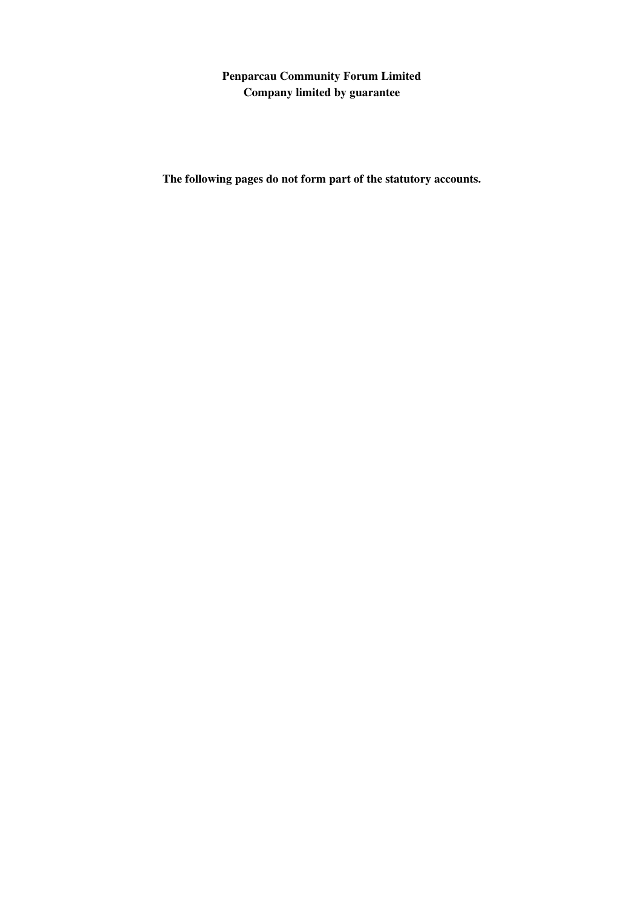**The following pages do not form part of the statutory accounts.**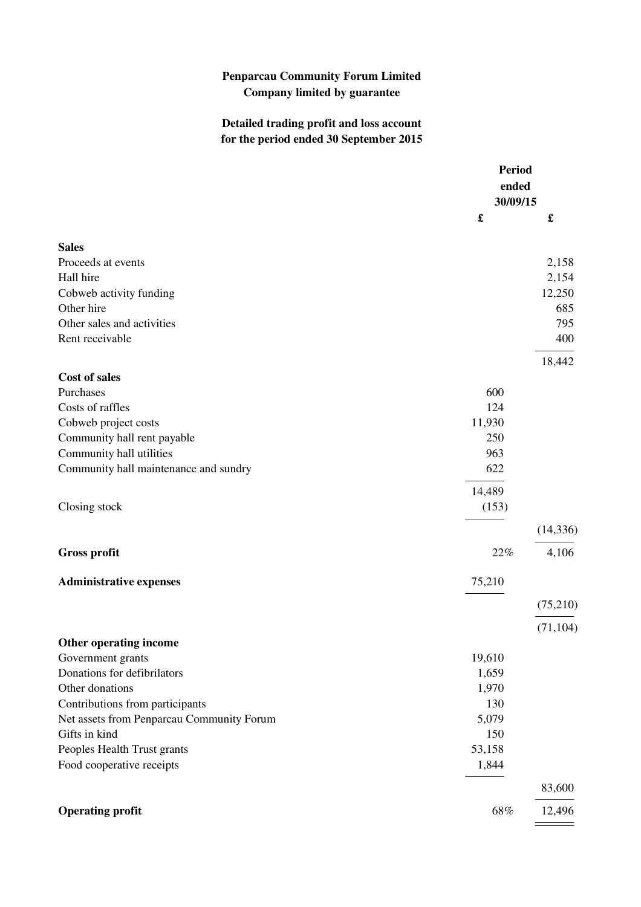# **Detailed trading profit and loss account for the period ended 30 September 2015**

|                                           | <b>Period</b><br>ended |           |
|-------------------------------------------|------------------------|-----------|
|                                           | 30/09/15               |           |
|                                           |                        | £         |
| <b>Sales</b>                              |                        |           |
| Proceeds at events                        |                        | 2,158     |
| Hall hire                                 |                        | 2,154     |
| Cobweb activity funding                   |                        | 12,250    |
| Other hire                                |                        | 685       |
| Other sales and activities                |                        | 795       |
| Rent receivable                           |                        | 400       |
|                                           |                        | 18,442    |
| <b>Cost of sales</b>                      |                        |           |
| Purchases                                 | 600                    |           |
| Costs of raffles                          | 124                    |           |
| Cobweb project costs                      | 11,930                 |           |
| Community hall rent payable               | 250                    |           |
| Community hall utilities                  | 963                    |           |
| Community hall maintenance and sundry     | 622                    |           |
|                                           | 14,489                 |           |
| Closing stock                             | (153)                  |           |
|                                           |                        | (14, 336) |
| <b>Gross profit</b>                       | 22%                    | 4,106     |
| <b>Administrative expenses</b>            | 75,210                 |           |
|                                           |                        | (75,210)  |
|                                           |                        | (71, 104) |
| Other operating income                    |                        |           |
| Government grants                         | 19,610                 |           |
| Donations for defibrilators               | 1,659                  |           |
| Other donations                           | 1,970                  |           |
| Contributions from participants           | 130                    |           |
| Net assets from Penparcau Community Forum | 5,079                  |           |
| Gifts in kind                             | 150                    |           |
| Peoples Health Trust grants               | 53,158                 |           |
| Food cooperative receipts                 | 1,844                  |           |
|                                           |                        | 83,600    |
| <b>Operating profit</b>                   | 68%                    | 12,496    |